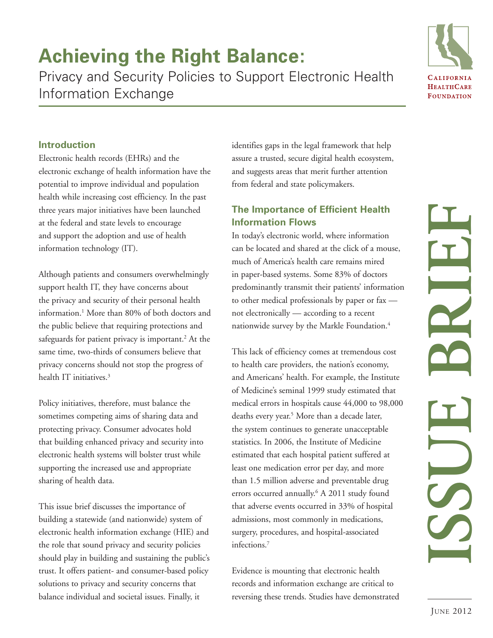# **Achieving the Right Balance:**

Privacy and Security Policies to Support Electronic Health Information Exchange



# **Introduction**

Electronic health records (EHRs) and the electronic exchange of health information have the potential to improve individual and population health while increasing cost efficiency. In the past three years major initiatives have been launched at the federal and state levels to encourage and support the adoption and use of health information technology (IT).

Although patients and consumers overwhelmingly support health IT, they have concerns about the privacy and security of their personal health information.1 More than 80% of both doctors and the public believe that requiring protections and safeguards for patient privacy is important.<sup>2</sup> At the same time, two-thirds of consumers believe that privacy concerns should not stop the progress of health IT initiatives.<sup>3</sup>

Policy initiatives, therefore, must balance the sometimes competing aims of sharing data and protecting privacy. Consumer advocates hold that building enhanced privacy and security into electronic health systems will bolster trust while supporting the increased use and appropriate sharing of health data.

This issue brief discusses the importance of building a statewide (and nationwide) system of electronic health information exchange (HIE) and the role that sound privacy and security policies should play in building and sustaining the public's trust. It offers patient- and consumer-based policy solutions to privacy and security concerns that balance individual and societal issues. Finally, it

identifies gaps in the legal framework that help assure a trusted, secure digital health ecosystem, and suggests areas that merit further attention from federal and state policymakers.

# **The Importance of Efficient Health Information Flows**

In today's electronic world, where information can be located and shared at the click of a mouse, much of America's health care remains mired in paper-based systems. Some 83% of doctors predominantly transmit their patients' information to other medical professionals by paper or fax not electronically — according to a recent nationwide survey by the Markle Foundation.4

This lack of efficiency comes at tremendous cost to health care providers, the nation's economy, and Americans' health. For example, the Institute of Medicine's seminal 1999 study estimated that medical errors in hospitals cause 44,000 to 98,000 deaths every year.<sup>5</sup> More than a decade later, the system continues to generate unacceptable statistics. In 2006, the Institute of Medicine estimated that each hospital patient suffered at least one medication error per day, and more than 1.5 million adverse and preventable drug errors occurred annually.<sup>6</sup> A 2011 study found that adverse events occurred in 33% of hospital admissions, most commonly in medications, surgery, procedures, and hospital-associated infections.7

Evidence is mounting that electronic health records and information exchange are critical to reversing these trends. Studies have demonstrated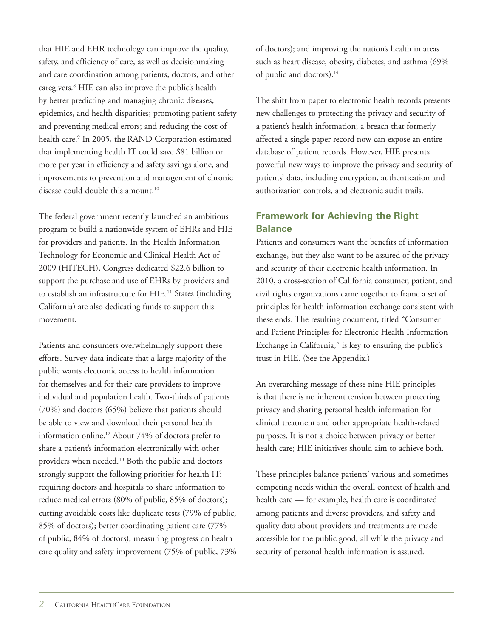that HIE and EHR technology can improve the quality, safety, and efficiency of care, as well as decisionmaking and care coordination among patients, doctors, and other caregivers.<sup>8</sup> HIE can also improve the public's health by better predicting and managing chronic diseases, epidemics, and health disparities; promoting patient safety and preventing medical errors; and reducing the cost of health care.<sup>9</sup> In 2005, the RAND Corporation estimated that implementing health IT could save \$81 billion or more per year in efficiency and safety savings alone, and improvements to prevention and management of chronic disease could double this amount.<sup>10</sup>

The federal government recently launched an ambitious program to build a nationwide system of EHRs and HIE for providers and patients. In the Health Information Technology for Economic and Clinical Health Act of 2009 (HITECH), Congress dedicated \$22.6 billion to support the purchase and use of EHRs by providers and to establish an infrastructure for HIE.<sup>11</sup> States (including California) are also dedicating funds to support this movement.

Patients and consumers overwhelmingly support these efforts. Survey data indicate that a large majority of the public wants electronic access to health information for themselves and for their care providers to improve individual and population health. Two-thirds of patients (70%) and doctors (65%) believe that patients should be able to view and download their personal health information online.12 About 74% of doctors prefer to share a patient's information electronically with other providers when needed.13 Both the public and doctors strongly support the following priorities for health IT: requiring doctors and hospitals to share information to reduce medical errors (80% of public, 85% of doctors); cutting avoidable costs like duplicate tests (79% of public, 85% of doctors); better coordinating patient care (77% of public, 84% of doctors); measuring progress on health care quality and safety improvement (75% of public, 73% of doctors); and improving the nation's health in areas such as heart disease, obesity, diabetes, and asthma (69% of public and doctors).<sup>14</sup>

The shift from paper to electronic health records presents new challenges to protecting the privacy and security of a patient's health information; a breach that formerly affected a single paper record now can expose an entire database of patient records. However, HIE presents powerful new ways to improve the privacy and security of patients' data, including encryption, authentication and authorization controls, and electronic audit trails.

# **Framework for Achieving the Right Balance**

Patients and consumers want the benefits of information exchange, but they also want to be assured of the privacy and security of their electronic health information. In 2010, a cross-section of California consumer, patient, and civil rights organizations came together to frame a set of principles for health information exchange consistent with these ends. The resulting document, titled "Consumer and Patient Principles for Electronic Health Information Exchange in California," is key to ensuring the public's trust in HIE. (See the Appendix.)

An overarching message of these nine HIE principles is that there is no inherent tension between protecting privacy and sharing personal health information for clinical treatment and other appropriate health-related purposes. It is not a choice between privacy or better health care; HIE initiatives should aim to achieve both.

These principles balance patients' various and sometimes competing needs within the overall context of health and health care — for example, health care is coordinated among patients and diverse providers, and safety and quality data about providers and treatments are made accessible for the public good, all while the privacy and security of personal health information is assured.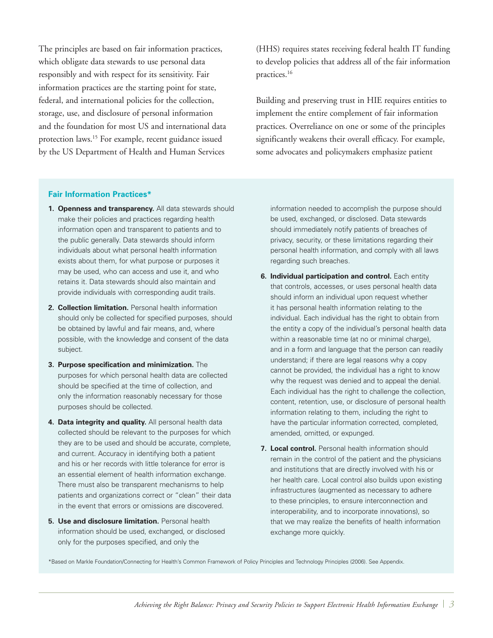The principles are based on fair information practices, which obligate data stewards to use personal data responsibly and with respect for its sensitivity. Fair information practices are the starting point for state, federal, and international policies for the collection, storage, use, and disclosure of personal information and the foundation for most US and international data protection laws.15 For example, recent guidance issued by the US Department of Health and Human Services

(HHS) requires states receiving federal health IT funding to develop policies that address all of the fair information practices.16

Building and preserving trust in HIE requires entities to implement the entire complement of fair information practices. Overreliance on one or some of the principles significantly weakens their overall efficacy. For example, some advocates and policymakers emphasize patient

#### **Fair Information Practices\***

- **1. Openness and transparency.** All data stewards should make their policies and practices regarding health information open and transparent to patients and to the public generally. Data stewards should inform individuals about what personal health information exists about them, for what purpose or purposes it may be used, who can access and use it, and who retains it. Data stewards should also maintain and provide individuals with corresponding audit trails.
- **2. Collection limitation.** Personal health information should only be collected for specified purposes, should be obtained by lawful and fair means, and, where possible, with the knowledge and consent of the data subject.
- **3. Purpose specification and minimization.** The purposes for which personal health data are collected should be specified at the time of collection, and only the information reasonably necessary for those purposes should be collected.
- **4. Data integrity and quality.** All personal health data collected should be relevant to the purposes for which they are to be used and should be accurate, complete, and current. Accuracy in identifying both a patient and his or her records with little tolerance for error is an essential element of health information exchange. There must also be transparent mechanisms to help patients and organizations correct or "clean" their data in the event that errors or omissions are discovered.
- **5. Use and disclosure limitation.** Personal health information should be used, exchanged, or disclosed only for the purposes specified, and only the

information needed to accomplish the purpose should be used, exchanged, or disclosed. Data stewards should immediately notify patients of breaches of privacy, security, or these limitations regarding their personal health information, and comply with all laws regarding such breaches.

- **6. Individual participation and control.** Each entity that controls, accesses, or uses personal health data should inform an individual upon request whether it has personal health information relating to the individual. Each individual has the right to obtain from the entity a copy of the individual's personal health data within a reasonable time (at no or minimal charge), and in a form and language that the person can readily understand; if there are legal reasons why a copy cannot be provided, the individual has a right to know why the request was denied and to appeal the denial. Each individual has the right to challenge the collection. content, retention, use, or disclosure of personal health information relating to them, including the right to have the particular information corrected, completed, amended, omitted, or expunged.
- **7. Local control.** Personal health information should remain in the control of the patient and the physicians and institutions that are directly involved with his or her health care. Local control also builds upon existing infrastructures (augmented as necessary to adhere to these principles, to ensure interconnection and interoperability, and to incorporate innovations), so that we may realize the benefits of health information exchange more quickly.

\*Based on Markle Foundation/Connecting for Health's Common Framework of Policy Principles and Technology Principles (2006). See Appendix.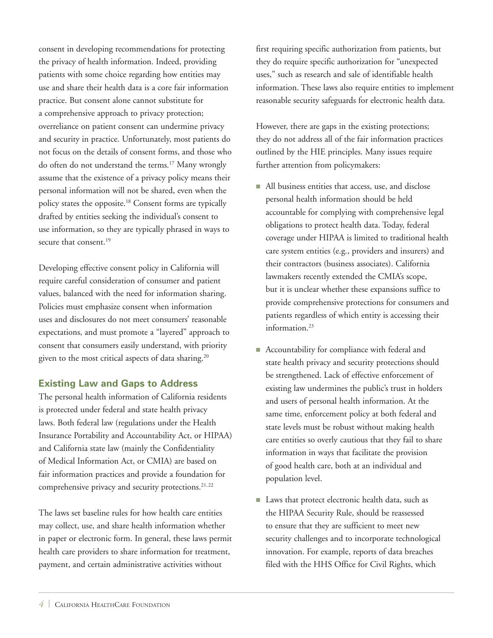consent in developing recommendations for protecting the privacy of health information. Indeed, providing patients with some choice regarding how entities may use and share their health data is a core fair information practice. But consent alone cannot substitute for a comprehensive approach to privacy protection; overreliance on patient consent can undermine privacy and security in practice. Unfortunately, most patients do not focus on the details of consent forms, and those who do often do not understand the terms.<sup>17</sup> Many wrongly assume that the existence of a privacy policy means their personal information will not be shared, even when the policy states the opposite.18 Consent forms are typically drafted by entities seeking the individual's consent to use information, so they are typically phrased in ways to secure that consent.<sup>19</sup>

Developing effective consent policy in California will require careful consideration of consumer and patient values, balanced with the need for information sharing. Policies must emphasize consent when information uses and disclosures do not meet consumers' reasonable expectations, and must promote a "layered" approach to consent that consumers easily understand, with priority given to the most critical aspects of data sharing.<sup>20</sup>

### **Existing Law and Gaps to Address**

The personal health information of California residents is protected under federal and state health privacy laws. Both federal law (regulations under the Health Insurance Portability and Accountability Act, or HIPAA) and California state law (mainly the Confidentiality of Medical Information Act, or CMIA) are based on fair information practices and provide a foundation for comprehensive privacy and security protections.<sup>21,22</sup>

The laws set baseline rules for how health care entities may collect, use, and share health information whether in paper or electronic form. In general, these laws permit health care providers to share information for treatment, payment, and certain administrative activities without

first requiring specific authorization from patients, but they do require specific authorization for "unexpected uses," such as research and sale of identifiable health information. These laws also require entities to implement reasonable security safeguards for electronic health data.

However, there are gaps in the existing protections; they do not address all of the fair information practices outlined by the HIE principles. Many issues require further attention from policymakers:

- All business entities that access, use, and disclose personal health information should be held accountable for complying with comprehensive legal obligations to protect health data. Today, federal coverage under HIPAA is limited to traditional health care system entities (e.g., providers and insurers) and their contractors (business associates). California lawmakers recently extended the CMIA's scope, but it is unclear whether these expansions suffice to provide comprehensive protections for consumers and patients regardless of which entity is accessing their information.<sup>23</sup>
- Accountability for compliance with federal and state health privacy and security protections should be strengthened. Lack of effective enforcement of existing law undermines the public's trust in holders and users of personal health information. At the same time, enforcement policy at both federal and state levels must be robust without making health care entities so overly cautious that they fail to share information in ways that facilitate the provision of good health care, both at an individual and population level.
- Laws that protect electronic health data, such as the HIPAA Security Rule, should be reassessed to ensure that they are sufficient to meet new security challenges and to incorporate technological innovation. For example, reports of data breaches filed with the HHS Office for Civil Rights, which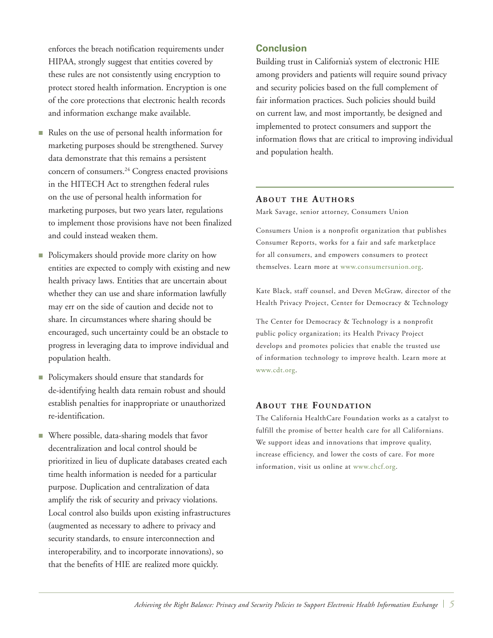enforces the breach notification requirements under HIPAA, strongly suggest that entities covered by these rules are not consistently using encryption to protect stored health information. Encryption is one of the core protections that electronic health records and information exchange make available.

- Rules on the use of personal health information for marketing purposes should be strengthened. Survey data demonstrate that this remains a persistent concern of consumers.<sup>24</sup> Congress enacted provisions in the HITECH Act to strengthen federal rules on the use of personal health information for marketing purposes, but two years later, regulations to implement those provisions have not been finalized and could instead weaken them.
- Policymakers should provide more clarity on how entities are expected to comply with existing and new health privacy laws. Entities that are uncertain about whether they can use and share information lawfully may err on the side of caution and decide not to share. In circumstances where sharing should be encouraged, such uncertainty could be an obstacle to progress in leveraging data to improve individual and population health.
- Policymakers should ensure that standards for de-identifying health data remain robust and should establish penalties for inappropriate or unauthorized re-identification.
- $\blacksquare$  Where possible, data-sharing models that favor decentralization and local control should be prioritized in lieu of duplicate databases created each time health information is needed for a particular purpose. Duplication and centralization of data amplify the risk of security and privacy violations. Local control also builds upon existing infrastructures (augmented as necessary to adhere to privacy and security standards, to ensure interconnection and interoperability, and to incorporate innovations), so that the benefits of HIE are realized more quickly.

## **Conclusion**

Building trust in California's system of electronic HIE among providers and patients will require sound privacy and security policies based on the full complement of fair information practices. Such policies should build on current law, and most importantly, be designed and implemented to protect consumers and support the information flows that are critical to improving individual and population health.

#### **ABOUT THE AUTHORS**

Mark Savage, senior attorney, Consumers Union

Consumers Union is a nonprofit organization that publishes Consumer Reports, works for a fair and safe marketplace for all consumers, and empowers consumers to protect themselves. Learn more at [www.consumersunion.org.](http://www.consumersunion.org)

Kate Black, staff counsel, and Deven McGraw, director of the Health Privacy Project, Center for Democracy & Technology

The Center for Democracy & Technology is a nonprofit public policy organization; its Health Privacy Project develops and promotes policies that enable the trusted use of information technology to improve health. Learn more at [www.cdt.org.](http://www.cdt.org)

#### **ABOUT THE FOUNDATION**

The California HealthCare Foundation works as a catalyst to fulfill the promise of better health care for all Californians. We support ideas and innovations that improve quality, increase efficiency, and lower the costs of care. For more information, visit us online at [www.chcf.org.](http://www.chcf.org)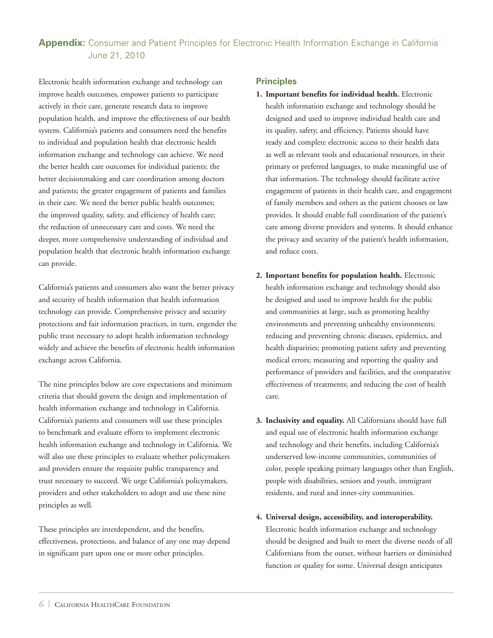# **Appendix:** Consumer and Patient Principles for Electronic Health Information Exchange in California June 21, 2010

Electronic health information exchange and technology can improve health outcomes, empower patients to participate actively in their care, generate research data to improve population health, and improve the effectiveness of our health system. California's patients and consumers need the benefits to individual and population health that electronic health information exchange and technology can achieve. We need the better health care outcomes for individual patients; the better decisionmaking and care coordination among doctors and patients; the greater engagement of patients and families in their care. We need the better public health outcomes; the improved quality, safety, and efficiency of health care; the reduction of unnecessary care and costs. We need the deeper, more comprehensive understanding of individual and population health that electronic health information exchange can provide.

California's patients and consumers also want the better privacy and security of health information that health information technology can provide. Comprehensive privacy and security protections and fair information practices, in turn, engender the public trust necessary to adopt health information technology widely and achieve the benefits of electronic health information exchange across California.

The nine principles below are core expectations and minimum criteria that should govern the design and implementation of health information exchange and technology in California. California's patients and consumers will use these principles to benchmark and evaluate efforts to implement electronic health information exchange and technology in California. We will also use these principles to evaluate whether policymakers and providers ensure the requisite public transparency and trust necessary to succeed. We urge California's policymakers, providers and other stakeholders to adopt and use these nine principles as well.

These principles are interdependent, and the benefits, effectiveness, protections, and balance of any one may depend in significant part upon one or more other principles.

#### **Principles**

- **1. Important benefits for individual health.** Electronic health information exchange and technology should be designed and used to improve individual health care and its quality, safety, and efficiency. Patients should have ready and complete electronic access to their health data as well as relevant tools and educational resources, in their primary or preferred languages, to make meaningful use of that information. The technology should facilitate active engagement of patients in their health care, and engagement of family members and others as the patient chooses or law provides. It should enable full coordination of the patient's care among diverse providers and systems. It should enhance the privacy and security of the patient's health information, and reduce costs.
- **2. Important benefits for population health.** Electronic health information exchange and technology should also be designed and used to improve health for the public and communities at large, such as promoting healthy environments and preventing unhealthy environments; reducing and preventing chronic diseases, epidemics, and health disparities; promoting patient safety and preventing medical errors; measuring and reporting the quality and performance of providers and facilities, and the comparative effectiveness of treatments; and reducing the cost of health care.
- **3. Inclusivity and equality.** All Californians should have full and equal use of electronic health information exchange and technology and their benefits, including California's underserved low-income communities, communities of color, people speaking primary languages other than English, people with disabilities, seniors and youth, immigrant residents, and rural and inner-city communities.
- **4. Universal design, accessibility, and interoperability.**  Electronic health information exchange and technology should be designed and built to meet the diverse needs of all Californians from the outset, without barriers or diminished function or quality for some. Universal design anticipates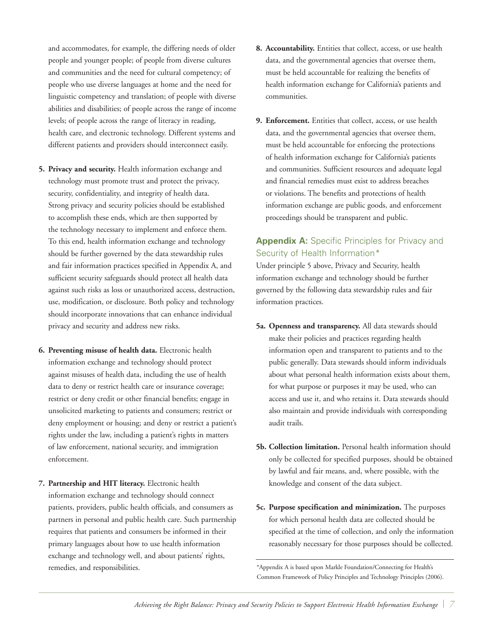and accommodates, for example, the differing needs of older people and younger people; of people from diverse cultures and communities and the need for cultural competency; of people who use diverse languages at home and the need for linguistic competency and translation; of people with diverse abilities and disabilities; of people across the range of income levels; of people across the range of literacy in reading, health care, and electronic technology. Different systems and different patients and providers should interconnect easily.

- **5. Privacy and security.** Health information exchange and technology must promote trust and protect the privacy, security, confidentiality, and integrity of health data. Strong privacy and security policies should be established to accomplish these ends, which are then supported by the technology necessary to implement and enforce them. To this end, health information exchange and technology should be further governed by the data stewardship rules and fair information practices specified in Appendix A, and sufficient security safeguards should protect all health data against such risks as loss or unauthorized access, destruction, use, modification, or disclosure. Both policy and technology should incorporate innovations that can enhance individual privacy and security and address new risks.
- **6. Preventing misuse of health data.** Electronic health information exchange and technology should protect against misuses of health data, including the use of health data to deny or restrict health care or insurance coverage; restrict or deny credit or other financial benefits; engage in unsolicited marketing to patients and consumers; restrict or deny employment or housing; and deny or restrict a patient's rights under the law, including a patient's rights in matters of law enforcement, national security, and immigration enforcement.
- **7. Partnership and HIT literacy.** Electronic health information exchange and technology should connect patients, providers, public health officials, and consumers as partners in personal and public health care. Such partnership requires that patients and consumers be informed in their primary languages about how to use health information exchange and technology well, and about patients' rights, remedies, and responsibilities.
- **8. Accountability.** Entities that collect, access, or use health data, and the governmental agencies that oversee them, must be held accountable for realizing the benefits of health information exchange for California's patients and communities.
- **9. Enforcement.** Entities that collect, access, or use health data, and the governmental agencies that oversee them, must be held accountable for enforcing the protections of health information exchange for California's patients and communities. Sufficient resources and adequate legal and financial remedies must exist to address breaches or violations. The benefits and protections of health information exchange are public goods, and enforcement proceedings should be transparent and public.

## **Appendix A:** Specific Principles for Privacy and Security of Health Information\*

Under principle 5 above, Privacy and Security, health information exchange and technology should be further governed by the following data stewardship rules and fair information practices.

- **5a. Openness and transparency.** All data stewards should make their policies and practices regarding health information open and transparent to patients and to the public generally. Data stewards should inform individuals about what personal health information exists about them, for what purpose or purposes it may be used, who can access and use it, and who retains it. Data stewards should also maintain and provide individuals with corresponding audit trails.
- **5b. Collection limitation.** Personal health information should only be collected for specified purposes, should be obtained by lawful and fair means, and, where possible, with the knowledge and consent of the data subject.
- **5c. Purpose specification and minimization.** The purposes for which personal health data are collected should be specified at the time of collection, and only the information reasonably necessary for those purposes should be collected.

<sup>\*</sup>Appendix A is based upon Markle Foundation/Connecting for Health's Common Framework of Policy Principles and Technology Principles (2006).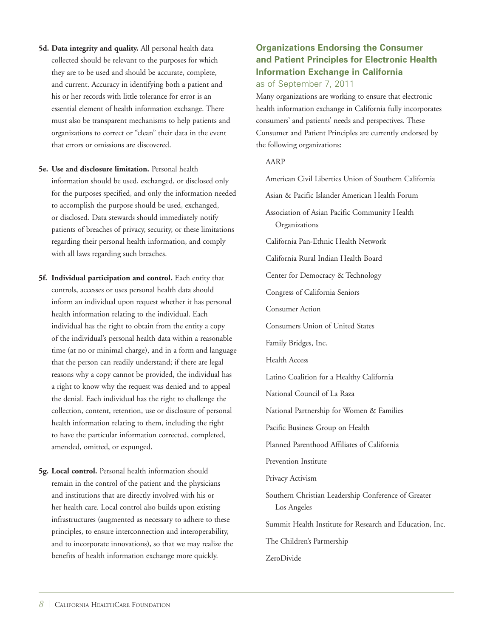- **5d. Data integrity and quality.** All personal health data collected should be relevant to the purposes for which they are to be used and should be accurate, complete, and current. Accuracy in identifying both a patient and his or her records with little tolerance for error is an essential element of health information exchange. There must also be transparent mechanisms to help patients and organizations to correct or "clean" their data in the event that errors or omissions are discovered.
- **5e. Use and disclosure limitation.** Personal health information should be used, exchanged, or disclosed only for the purposes specified, and only the information needed to accomplish the purpose should be used, exchanged, or disclosed. Data stewards should immediately notify patients of breaches of privacy, security, or these limitations regarding their personal health information, and comply with all laws regarding such breaches.
- **5f. Individual participation and control.** Each entity that controls, accesses or uses personal health data should inform an individual upon request whether it has personal health information relating to the individual. Each individual has the right to obtain from the entity a copy of the individual's personal health data within a reasonable time (at no or minimal charge), and in a form and language that the person can readily understand; if there are legal reasons why a copy cannot be provided, the individual has a right to know why the request was denied and to appeal the denial. Each individual has the right to challenge the collection, content, retention, use or disclosure of personal health information relating to them, including the right to have the particular information corrected, completed, amended, omitted, or expunged.
- **5g. Local control.** Personal health information should remain in the control of the patient and the physicians and institutions that are directly involved with his or her health care. Local control also builds upon existing infrastructures (augmented as necessary to adhere to these principles, to ensure interconnection and interoperability, and to incorporate innovations), so that we may realize the benefits of health information exchange more quickly.

## **Organizations Endorsing the Consumer and Patient Principles for Electronic Health Information Exchange in California**  as of September 7, 2011

Many organizations are working to ensure that electronic health information exchange in California fully incorporates consumers' and patients' needs and perspectives. These Consumer and Patient Principles are currently endorsed by the following organizations:

#### AARP

American Civil Liberties Union of Southern California Asian & Pacific Islander American Health Forum Association of Asian Pacific Community Health Organizations California Pan-Ethnic Health Network California Rural Indian Health Board Center for Democracy & Technology Congress of California Seniors Consumer Action Consumers Union of United States Family Bridges, Inc. Health Access Latino Coalition for a Healthy California National Council of La Raza National Partnership for Women & Families Pacific Business Group on Health Planned Parenthood Affiliates of California Prevention Institute Privacy Activism Southern Christian Leadership Conference of Greater Los Angeles Summit Health Institute for Research and Education, Inc. The Children's Partnership ZeroDivide